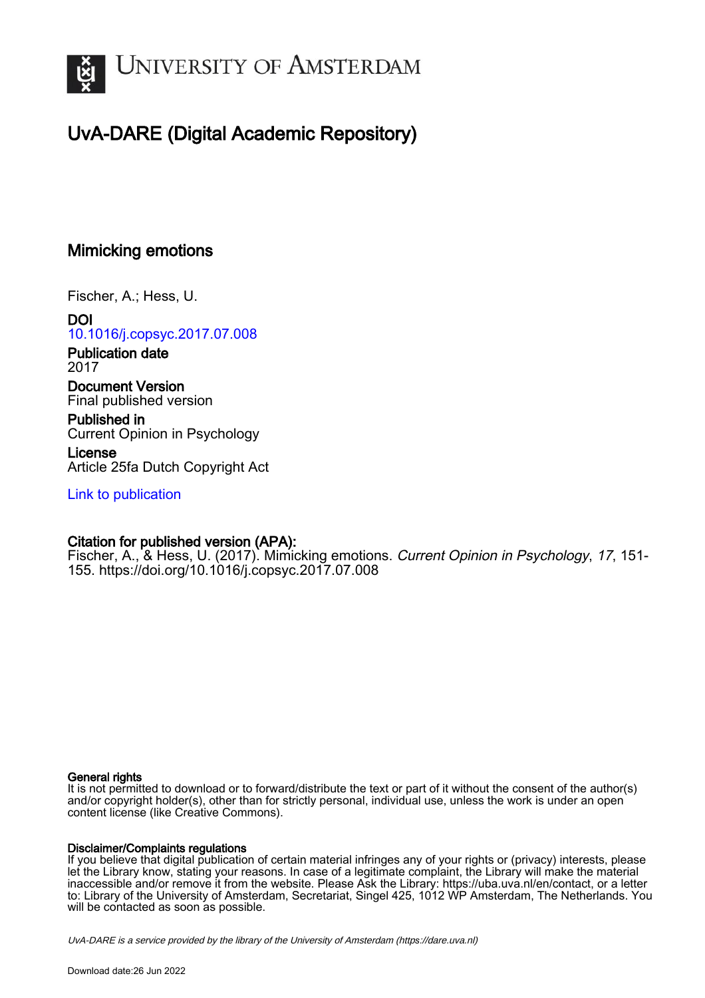

# UvA-DARE (Digital Academic Repository)

# Mimicking emotions

Fischer, A.; Hess, U.

DOI [10.1016/j.copsyc.2017.07.008](https://doi.org/10.1016/j.copsyc.2017.07.008)

Publication date 2017

Document Version Final published version

Published in Current Opinion in Psychology

License Article 25fa Dutch Copyright Act

[Link to publication](https://dare.uva.nl/personal/pure/en/publications/mimicking-emotions(2122bb3f-e39d-4cbf-aedf-9687837981be).html)

## Citation for published version (APA):

Fischer, A., & Hess, U. (2017). Mimicking emotions. Current Opinion in Psychology, 17, 151- 155. <https://doi.org/10.1016/j.copsyc.2017.07.008>

### General rights

It is not permitted to download or to forward/distribute the text or part of it without the consent of the author(s) and/or copyright holder(s), other than for strictly personal, individual use, unless the work is under an open content license (like Creative Commons).

### Disclaimer/Complaints regulations

If you believe that digital publication of certain material infringes any of your rights or (privacy) interests, please let the Library know, stating your reasons. In case of a legitimate complaint, the Library will make the material inaccessible and/or remove it from the website. Please Ask the Library: https://uba.uva.nl/en/contact, or a letter to: Library of the University of Amsterdam, Secretariat, Singel 425, 1012 WP Amsterdam, The Netherlands. You will be contacted as soon as possible.

UvA-DARE is a service provided by the library of the University of Amsterdam (http*s*://dare.uva.nl)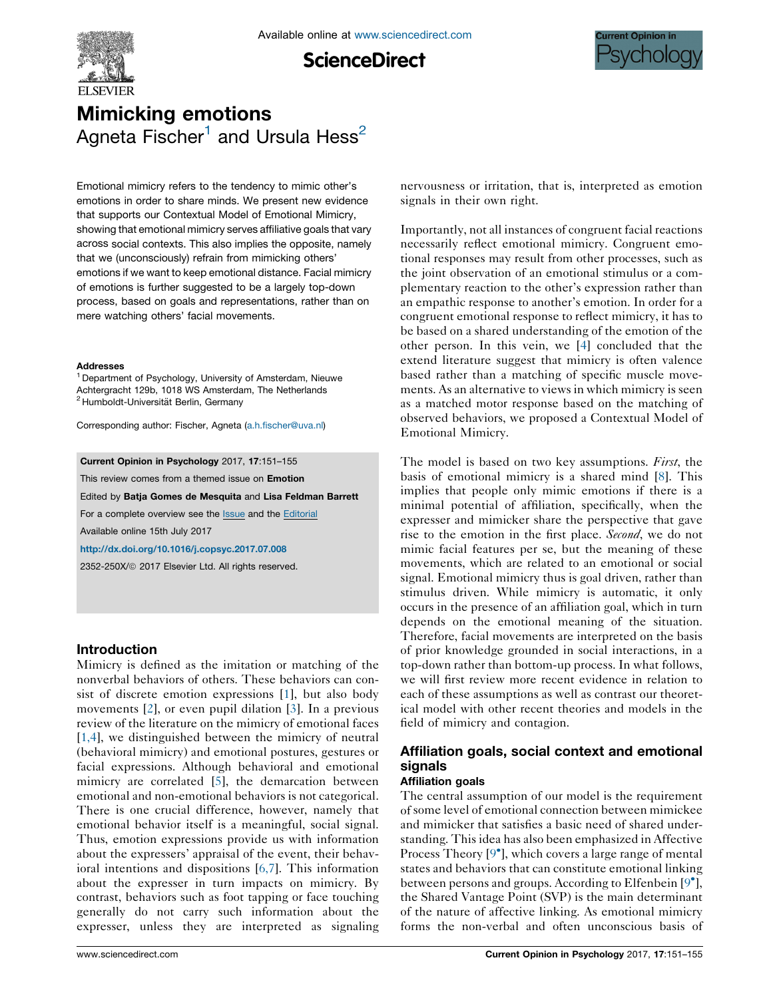

**ScienceDirect** 



# Mimicking emotions Agneta Fischer<sup>1</sup> and Ursula Hess<sup>2</sup>

Emotional mimicry refers to the tendency to mimic other's emotions in order to share minds. We present new evidence that supports our Contextual Model of Emotional Mimicry, showing that emotional mimicry serves affiliative goals that vary across social contexts. This also implies the opposite, namely that we (unconsciously) refrain from mimicking others' emotions if we want to keep emotional distance. Facial mimicry of emotions is further suggested to be a largely top-down process, based on goals and representations, rather than on mere watching others' facial movements.

#### **Addresses**

<sup>1</sup> Department of Psychology, University of Amsterdam, Nieuwe Achtergracht 129b, 1018 WS Amsterdam, The Netherlands <sup>2</sup> Humboldt-Universität Berlin, Germany

Corresponding author: Fischer, Agneta [\(a.h.fischer@uva.nl\)](mailto:a.h.fischer@uva.nl)

#### Current Opinion in Psychology 2017, 17:151–155

This review comes from a themed issue on **Emotion** 

Edited by Batja Gomes de Mesquita and Lisa Feldman Barrett

For a complete overview see the **[Issue](http://www.sciencedirect.com/science/journal/2352250X/17)** and the [Editorial](http://dx.doi.org/10.1016/j.copsyc.2017.07.030) Available online 15th July 2017

<http://dx.doi.org/10.1016/j.copsyc.2017.07.008>

2352-250X/ã 2017 Elsevier Ltd. All rights reserved.

#### Introduction

Mimicry is defined as the imitation or matching of the nonverbal behaviors of others. These behaviors can consist of discrete emotion expressions [[1\]](#page-3-0), but also body movements [[2\]](#page-3-0), or even pupil dilation [[3\]](#page-3-0). In a previous review of the literature on the mimicry of emotional faces [\[1,4\]](#page-3-0), we distinguished between the mimicry of neutral (behavioral mimicry) and emotional postures, gestures or facial expressions. Although behavioral and emotional mimicry are correlated [\[5](#page-3-0)], the demarcation between emotional and non-emotional behaviors is not categorical. There is one crucial difference, however, namely that emotional behavior itself is a meaningful, social signal. Thus, emotion expressions provide us with information about the expressers' appraisal of the event, their behavioral intentions and dispositions [[6,7](#page-3-0)]. This information about the expresser in turn impacts on mimicry. By contrast, behaviors such as foot tapping or face touching generally do not carry such information about the expresser, unless they are interpreted as signaling nervousness or irritation, that is, interpreted as emotion signals in their own right.

Importantly, not all instances of congruent facial reactions necessarily reflect emotional mimicry. Congruent emotional responses may result from other processes, such as the joint observation of an emotional stimulus or a complementary reaction to the other's expression rather than an empathic response to another's emotion. In order for a congruent emotional response to reflect mimicry, it has to be based on a shared understanding of the emotion of the other person. In this vein, we [\[4](#page-3-0)] concluded that the extend literature suggest that mimicry is often valence based rather than a matching of specific muscle movements. As an alternative to views in which mimicry is seen as a matched motor response based on the matching of observed behaviors, we proposed a Contextual Model of Emotional Mimicry.

The model is based on two key assumptions. *First*, the basis of emotional mimicry is a shared mind [\[8](#page-3-0)]. This implies that people only mimic emotions if there is a minimal potential of affiliation, specifically, when the expresser and mimicker share the perspective that gave rise to the emotion in the first place. *Second*, we do not mimic facial features per se, but the meaning of these movements, which are related to an emotional or social signal. Emotional mimicry thus is goal driven, rather than stimulus driven. While mimicry is automatic, it only occurs in the presence of an affiliation goal, which in turn depends on the emotional meaning of the situation. Therefore, facial movements are interpreted on the basis of prior knowledge grounded in social interactions, in a top-down rather than bottom-up process. In what follows, we will first review more recent evidence in relation to each of these assumptions as well as contrast our theoretical model with other recent theories and models in the field of mimicry and contagion.

## Affiliation goals, social context and emotional signals

#### Affiliation goals

The central assumption of our model is the requirement ofsome level of emotional connection between mimickee and mimicker that satisfies a basic need of shared understanding. This idea has also been emphasized in Affective Process Theory [9<sup>°</sup>], which covers a large range of [mental](#page-4-0) states and behaviors that can constitute emotional linking between persons and groups. According to Elfenbein [9 [\],](#page-4-0) the Shared Vantage Point (SVP) is the main determinant of the nature of affective linking. As emotional mimicry forms the non-verbal and often unconscious basis of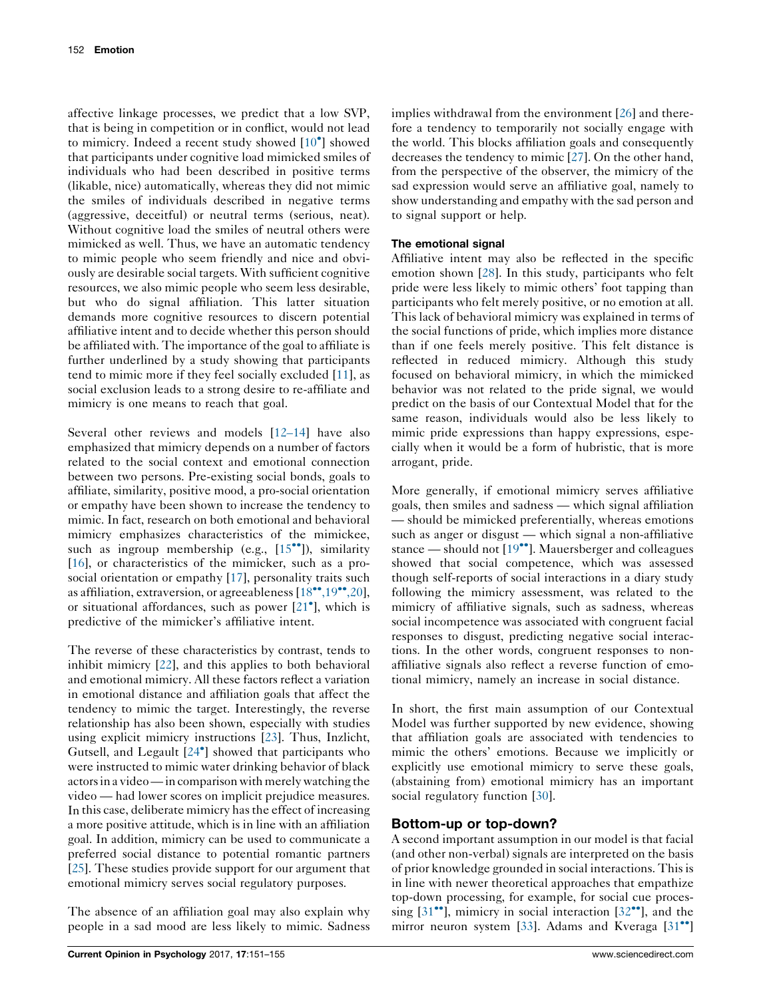affective linkage processes, we predict that a low SVP, that is being in competition or in conflict, would not lead to mimicry. Indeed a recent study showed [10 ] [showed](#page-4-0) that participants under cognitive load mimicked smiles of individuals who had been described in positive terms (likable, nice) automatically, whereas they did not mimic the smiles of individuals described in negative terms (aggressive, deceitful) or neutral terms (serious, neat). Without cognitive load the smiles of neutral others were mimicked as well. Thus, we have an automatic tendency to mimic people who seem friendly and nice and obviously are desirable social targets. With sufficient cognitive resources, we also mimic people who seem less desirable, but who do signal affiliation. This latter situation demands more cognitive resources to discern potential affiliative intent and to decide whether this person should be affiliated with. The importance of the goal to affiliate is further underlined by a study showing that participants tend to mimic more if they feel socially excluded [\[11](#page-4-0)], as social exclusion leads to a strong desire to re-affiliate and mimicry is one means to reach that goal.

Several other reviews and models [[12–14\]](#page-4-0) have also emphasized that mimicry depends on a number of factors related to the social context and emotional connection between two persons. Pre-existing social bonds, goals to affiliate, similarity, positive mood, a pro-social orientation or empathy have been shown to increase the tendency to mimic. In fact, research on both emotional and behavioral mimicry emphasizes characteristics of the mimickee, such as ingroup membership (e.g.,  $[15\text{°}$ )), [similarity](#page-4-0) [\[16](#page-4-0)], or characteristics of the mimicker, such as a prosocial orientation or empathy [\[17](#page-4-0)], personality traits such as affiliation, extraversion, or agreeableness  $[18\text{°}^\bullet, 19\text{°}^\bullet, 20]$ , or situational affordances, such as power [21 ], [which](#page-4-0) is predictive of the mimicker's affiliative intent.

The reverse of these characteristics by contrast, tends to inhibit mimicry [[22\]](#page-4-0), and this applies to both behavioral and emotional mimicry. All these factors reflect a variation in emotional distance and affiliation goals that affect the tendency to mimic the target. Interestingly, the reverse relationship has also been shown, especially with studies using explicit mimicry instructions [[23](#page-4-0)]. Thus, Inzlicht, Gutsell, and Legault [24 ] showed that [participants](#page-4-0) who were instructed to mimic water drinking behavior of black actorsin a video—in comparison with merely watching the video — had lower scores on implicit prejudice measures. In this case, deliberate mimicry has the effect of increasing a more positive attitude, which is in line with an affiliation goal. In addition, mimicry can be used to communicate a preferred social distance to potential romantic partners [\[25](#page-4-0)]. These studies provide support for our argument that emotional mimicry serves social regulatory purposes.

The absence of an affiliation goal may also explain why people in a sad mood are less likely to mimic. Sadness

implies withdrawal from the environment [\[26](#page-4-0)] and therefore a tendency to temporarily not socially engage with the world. This blocks affiliation goals and consequently decreases the tendency to mimic [[27\]](#page-4-0). On the other hand, from the perspective of the observer, the mimicry of the sad expression would serve an affiliative goal, namely to show understanding and empathy with the sad person and to signal support or help.

### The emotional signal

Affiliative intent may also be reflected in the specific emotion shown [\[28](#page-4-0)]. In this study, participants who felt pride were less likely to mimic others' foot tapping than participants who felt merely positive, or no emotion at all. This lack of behavioral mimicry was explained in terms of the social functions of pride, which implies more distance than if one feels merely positive. This felt distance is reflected in reduced mimicry. Although this study focused on behavioral mimicry, in which the mimicked behavior was not related to the pride signal, we would predict on the basis of our Contextual Model that for the same reason, individuals would also be less likely to mimic pride expressions than happy expressions, especially when it would be a form of hubristic, that is more arrogant, pride.

More generally, if emotional mimicry serves affiliative goals, then smiles and sadness — which signal affiliation — should be mimicked preferentially, whereas emotions such as anger or disgust — which signal a non-affiliative stance — should not  $[19^{\bullet\bullet}]$ . [Mauersberger](#page-4-0) and colleagues showed that social competence, which was assessed though self-reports of social interactions in a diary study following the mimicry assessment, was related to the mimicry of affiliative signals, such as sadness, whereas social incompetence was associated with congruent facial responses to disgust, predicting negative social interactions. In the other words, congruent responses to nonaffiliative signals also reflect a reverse function of emotional mimicry, namely an increase in social distance.

In short, the first main assumption of our Contextual Model was further supported by new evidence, showing that affiliation goals are associated with tendencies to mimic the others' emotions. Because we implicitly or explicitly use emotional mimicry to serve these goals, (abstaining from) emotional mimicry has an important social regulatory function [[30\]](#page-4-0).

### Bottom-up or top-down?

A second important assumption in our model is that facial (and other non-verbal) signals are interpreted on the basis of prior knowledge grounded in social interactions. Thisis in line with newer theoretical approaches that empathize top-down processing, for example, for social cue processing  $[31\text{°}']$ , mimicry in social [interaction](#page-4-0)  $[32\text{°}']$ , [and](#page-4-0) the mirror neuron system [[33\]](#page-4-0). Adams and Kveraga  $[31$  $[31$ <sup>\*\*</sup>]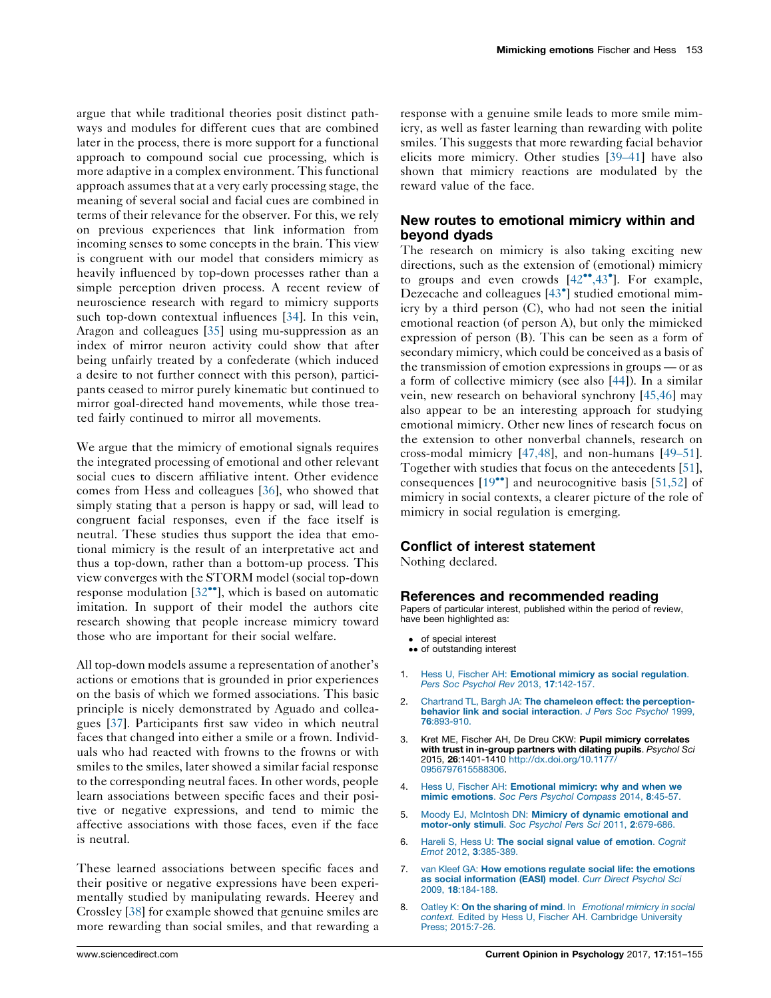<span id="page-3-0"></span>argue that while traditional theories posit distinct pathways and modules for different cues that are combined later in the process, there is more support for a functional approach to compound social cue processing, which is more adaptive in a complex environment. This functional approach assumes that at a very early processing stage, the meaning of several social and facial cues are combined in terms of their relevance for the observer. For this, we rely on previous experiences that link information from incoming senses to some concepts in the brain. This view is congruent with our model that considers mimicry as heavily influenced by top-down processes rather than a simple perception driven process. A recent review of neuroscience research with regard to mimicry supports such top-down contextual influences [[34\]](#page-4-0). In this vein, Aragon and colleagues [[35\]](#page-4-0) using mu-suppression as an index of mirror neuron activity could show that after being unfairly treated by a confederate (which induced a desire to not further connect with this person), participants ceased to mirror purely kinematic but continued to mirror goal-directed hand movements, while those treated fairly continued to mirror all movements.

We argue that the mimicry of emotional signals requires the integrated processing of emotional and other relevant social cues to discern affiliative intent. Other evidence comes from Hess and colleagues [[36\]](#page-4-0), who showed that simply stating that a person is happy or sad, will lead to congruent facial responses, even if the face itself is neutral. These studies thus support the idea that emotional mimicry is the result of an interpretative act and thus a top-down, rather than a bottom-up process. This view converges with the STORM model (social top-down response modulation  $[32^{\bullet\bullet}]$ , which is based on [automatic](#page-4-0) imitation. In support of their model the authors cite research showing that people increase mimicry toward those who are important for their social welfare.

All top-down models assume a representation of another's actions or emotions that is grounded in prior experiences on the basis of which we formed associations. This basic principle is nicely demonstrated by Aguado and colleagues [[37\]](#page-5-0). Participants first saw video in which neutral faces that changed into either a smile or a frown. Individuals who had reacted with frowns to the frowns or with smiles to the smiles, later showed a similar facial response to the corresponding neutral faces. In other words, people learn associations between specific faces and their positive or negative expressions, and tend to mimic the affective associations with those faces, even if the face is neutral.

These learned associations between specific faces and their positive or negative expressions have been experimentally studied by manipulating rewards. Heerey and Crossley [\[38](#page-5-0)] for example showed that genuine smiles are more rewarding than social smiles, and that rewarding a

response with a genuine smile leads to more smile mimicry, as well as faster learning than rewarding with polite smiles. This suggests that more rewarding facial behavior elicits more mimicry. Other studies [\[39–41](#page-5-0)] have also shown that mimicry reactions are modulated by the reward value of the face.

## New routes to emotional mimicry within and beyond dyads

The research on mimicry is also taking exciting new directions, such as the extension of (emotional) mimicry to groups and even crowds  $[42^{\bullet\bullet}, 43^{\bullet}]$ . For [example,](#page-5-0) Dezecache and colleagues [43 ] studied [emotional](#page-5-0) mimicry by a third person (C), who had not seen the initial emotional reaction (of person A), but only the mimicked expression of person (B). This can be seen as a form of secondary mimicry, which could be conceived as a basis of the transmission of emotion expressions in groups — or as a form of collective mimicry (see also [[44\]](#page-5-0)). In a similar vein, new research on behavioral synchrony [[45,46](#page-5-0)] may also appear to be an interesting approach for studying emotional mimicry. Other new lines of research focus on the extension to other nonverbal channels, research on cross-modal mimicry [\[47,48\]](#page-5-0), and non-humans [[49–51\]](#page-5-0). Together with studies that focus on the antecedents [[51\]](#page-5-0), consequences  $[19\bullet]$  and [neurocognitive](#page-4-0) basis  $[51,52]$  $[51,52]$  $[51,52]$  of mimicry in social contexts, a clearer picture of the role of mimicry in social regulation is emerging.

#### Conflict of interest statement

Nothing declared.

#### References and recommended reading

Papers of particular interest, published within the period of review, have been highlighted as:

- of special interest
- of outstanding interest
- 1. Hess U, Fischer AH: [Emotional](http://refhub.elsevier.com/S2352-250X(16)30207-X/sbref0005) mimicry as social regulation. Pers Soc Psychol Rev 2013, 17[:142-157.](http://refhub.elsevier.com/S2352-250X(16)30207-X/sbref0005)
- 2. Chartrand TL, Bargh JA: The chameleon effect: the [perception](http://refhub.elsevier.com/S2352-250X(16)30207-X/sbref0010)behavior link and social [interaction](http://refhub.elsevier.com/S2352-250X(16)30207-X/sbref0010). J Pers Soc Psychol 1999, 76[:893-910.](http://refhub.elsevier.com/S2352-250X(16)30207-X/sbref0010)
- 3. Kret ME, Fischer AH, De Dreu CKW: Pupil mimicry correlates with trust in in-group partners with dilating pupils. Psychol Sci 2015, 26:1401-1410 [http://dx.doi.org/10.1177/](http://dx.doi.org/10.1177/0956797615588306) [0956797615588306.](http://dx.doi.org/10.1177/0956797615588306)
- 4. Hess U, Fischer AH: [Emotional](http://refhub.elsevier.com/S2352-250X(16)30207-X/sbref0020) mimicry: why and when we mimic [emotions](http://refhub.elsevier.com/S2352-250X(16)30207-X/sbref0020). Soc Pers Psychol Compass 2014, 8:45-57.
- 5. Moody EJ, McIntosh DN: Mimicry of dynamic [emotional](http://refhub.elsevier.com/S2352-250X(16)30207-X/sbref0025) and [motor-only](http://refhub.elsevier.com/S2352-250X(16)30207-X/sbref0025) stimuli. Soc Psychol Pers Sci 2011, 2:679-686.
- 6. Hareli S, Hess U: The social signal value of [emotion](http://refhub.elsevier.com/S2352-250X(16)30207-X/sbref0030). Cognit Emot 2012, 3[:385-389.](http://refhub.elsevier.com/S2352-250X(16)30207-X/sbref0030)
- 7. van Kleef GA: How [emotions](http://refhub.elsevier.com/S2352-250X(16)30207-X/sbref0035) regulate social life: the emotions as social [information](http://refhub.elsevier.com/S2352-250X(16)30207-X/sbref0035) (EASI) model. Curr Direct Psychol Sci 2009, 18[:184-188.](http://refhub.elsevier.com/S2352-250X(16)30207-X/sbref0035)
- 8. Oatley K: On the sharing of mind. In [Emotional](http://refhub.elsevier.com/S2352-250X(16)30207-X/sbref0040) mimicry in social context. Edited by Hess U, Fischer AH. [Cambridge](http://refhub.elsevier.com/S2352-250X(16)30207-X/sbref0040) University Press; [2015:7-26.](http://refhub.elsevier.com/S2352-250X(16)30207-X/sbref0040)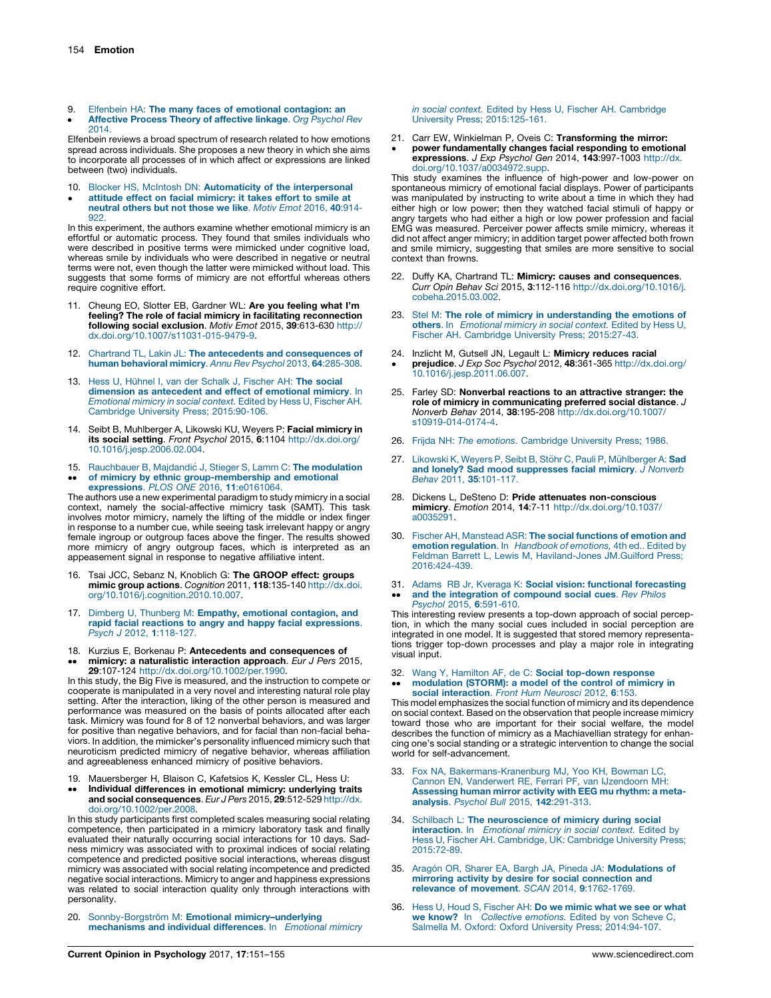<span id="page-4-0"></span>9.  $\bullet$ Elfenbein HA: The many faces of emotional [contagion:](http://refhub.elsevier.com/S2352-250X(16)30207-X/sbref0045) an [Affective](http://refhub.elsevier.com/S2352-250X(16)30207-X/sbref0045) Process Theory of affective linkage. Org Psychol Rev [2014.](http://refhub.elsevier.com/S2352-250X(16)30207-X/sbref0045)

Elfenbein reviews a broad spectrum of research related to how emotions spread across individuals. She proposes a new theory in which she aims to incorporate all processes of in which affect or expressions are linked between (two) individuals.

- 10.
- <u>•</u> Blocker HS, McIntosh DN: Automaticity of the [interpersonal](http://refhub.elsevier.com/S2352-250X(16)30207-X/sbref0050) attitude effect on facial [mimicry:](http://refhub.elsevier.com/S2352-250X(16)30207-X/sbref0050) it takes effort to smile at [neutral](http://refhub.elsevier.com/S2352-250X(16)30207-X/sbref0050) others but not those we like. Motiv Emot 2016, 40:914- 922

In this experiment, the authors examine whether emotional mimicry is an effortful or automatic process. They found that smiles individuals who were described in positive terms were mimicked under cognitive load. whereas smile by individuals who were described in negative or neutral terms were not, even though the latter were mimicked without load. This suggests that some forms of mimicry are not effortful whereas others require cognitive effort.

- 11. Cheung EO, Slotter EB, Gardner WL: Are you feeling what I'm feeling? The role of facial mimicry in facilitating reconnection following social exclusion. Motiv Emot 2015, 39:613-630 [http://](http://dx.doi.org/10.1007/s11031-015-9479-9) [dx.doi.org/10.1007/s11031-015-9479-9](http://dx.doi.org/10.1007/s11031-015-9479-9).
- 12. Chartrand TL, Lakin JL: The antecedents and [consequences](http://refhub.elsevier.com/S2352-250X(16)30207-X/sbref0060) of human [behavioral](http://refhub.elsevier.com/S2352-250X(16)30207-X/sbref0060) mimicry. Annu Rev Psychol 2013, 64:285-308.
- 13. Hess U, Hühnel I, van der Schalk J, [Fischer](http://refhub.elsevier.com/S2352-250X(16)30207-X/sbref0065) AH: The social dimension as [antecedent](http://refhub.elsevier.com/S2352-250X(16)30207-X/sbref0065) and effect of emotional mimicry. In [Emotional](http://refhub.elsevier.com/S2352-250X(16)30207-X/sbref0065) mimicry in social context. Edited by Hess U, Fischer AH. Cambridge University Press; [2015:90-106.](http://refhub.elsevier.com/S2352-250X(16)30207-X/sbref0065)
- 14. Seibt B, Muhlberger A, Likowski KU, Weyers P: Facial mimicry in **its social setting.** *Front Psychol* 2015, **6**:1104 [http://dx.doi.org/](http://dx.doi.org/10.1016/j.jesp.2006.02.004)<br>[10.1016/j.jesp.2006.02.004.](http://dx.doi.org/10.1016/j.jesp.2006.02.004)
- 15. [Rauchbauer](http://refhub.elsevier.com/S2352-250X(16)30207-X/sbref0075) B, Majdandić J, Stieger S, Lamm C: The modulation
- $\ddot{\phantom{0}}$ of mimicry by ethnic [group-membership](http://refhub.elsevier.com/S2352-250X(16)30207-X/sbref0075) and emotional [expressions](http://refhub.elsevier.com/S2352-250X(16)30207-X/sbref0075). PLOS ONE 2016, 11:e0161064.

The authors use a new experimental paradigm to study mimicry in a social context, namely the social-affective mimicry task (SAMT). This task involves motor mimicry, namely the lifting of the middle or index finger in response to a number cue, while seeing task irrelevant happy or angry female ingroup or outgroup faces above the finger. The results showed more mimicry of angry outgroup faces, which is interpreted as an appeasement signal in response to negative affiliative intent.

- 16. Tsai JCC, Sebanz N, Knoblich G: The GROOP effect: groups mimic group actions. Cognition 2011, 118:135-140 [http://dx.doi.](http://dx.doi.org/10.1016/j.cognition.2010.10.007) [org/10.1016/j.cognition.2010.10.007](http://dx.doi.org/10.1016/j.cognition.2010.10.007).
- 17. Dimberg U, Thunberg M: Empathy, emotional [contagion,](http://refhub.elsevier.com/S2352-250X(16)30207-X/sbref0085) and rapid facial reactions to angry and happy facial [expressions](http://refhub.elsevier.com/S2352-250X(16)30207-X/sbref0085). Psych J 2012, 1[:118-127.](http://refhub.elsevier.com/S2352-250X(16)30207-X/sbref0085)
- 18. Kurzius E, Borkenau P: Antecedents and consequences of
- $\ddot{\phantom{0}}$ mimicry: a naturalistic interaction approach. Eur J Pers 2015, 29:107-124 [http://dx.doi.org/10.1002/per.1990.](http://dx.doi.org/10.1002/per.1990)

In this study, the Big Five is measured, and the instruction to compete or cooperate is manipulated in a very novel and interesting natural role play setting. After the interaction, liking of the other person is measured and performance was measured on the basis of points allocated after each task. Mimicry was found for 8 of 12 nonverbal behaviors, and was larger for positive than negative behaviors, and for facial than non-facial behaviors. In addition, the mimicker's personality influenced mimicry such that neuroticism predicted mimicry of negative behavior, whereas affiliation and agreeableness enhanced mimicry of positive behaviors.

- 19. Mauersberger H, Blaison C, Kafetsios K, Kessler CL, Hess U:
- $\ddot{\phantom{0}}$ Individual differences in emotional mimicry: underlying traits and social consequences. Eur J Pers 2015, 29:512-529 [http://dx.](http://dx.doi.org/10.1002/per.2008) [doi.org/10.1002/per.2008](http://dx.doi.org/10.1002/per.2008).

In this study participants first completed scales measuring social relating competence, then participated in a mimicry laboratory task and finally evaluated their naturally occurring social interactions for 10 days. Sadness mimicry was associated with to proximal indices of social relating competence and predicted positive social interactions, whereas disgust mimicry was associated with social relating incompetence and predicted negative social interactions. Mimicry to anger and happiness expressions was related to social interaction quality only through interactions with personality.

20. Sonnby-Borgström M: Emotional mimicry-underlying [mechanisms](http://refhub.elsevier.com/S2352-250X(16)30207-X/sbref0100) and individual differences. In Emotional mimicry in social context. Edited by Hess U, Fischer AH. [Cambridge](http://refhub.elsevier.com/S2352-250X(16)30207-X/sbref0100) University Press; [2015:125-161.](http://refhub.elsevier.com/S2352-250X(16)30207-X/sbref0100)

- 21. Carr EW, Winkielman P, Oveis C: Transforming the mirror:
- $\cdot$ power fundamentally changes facial responding to emotional expressions. J Exp Psychol Gen 2014, 143:997-1003 [http://dx.](http://dx.doi.org/10.1037/a0034972.supp) [doi.org/10.1037/a0034972.supp.](http://dx.doi.org/10.1037/a0034972.supp)

This study examines the influence of high-power and low-power on spontaneous mimicry of emotional facial displays. Power of participants was manipulated by instructing to write about a time in which they had either high or low power; then they watched facial stimuli of happy or angry targets who had either a high or low power profession and facial EMG was measured. Perceiver power affects smile mimicry, whereas it did not affect anger mimicry; in addition target power affected both frown and smile mimicry, suggesting that smiles are more sensitive to social context than frowns.

- 22. Duffy KA, Chartrand TL: Mimicry: causes and consequences. Curr Opin Behav Sci 2015, 3:112-116 [http://dx.doi.org/10.1016/j.](http://dx.doi.org/10.1016/j.cobeha.2015.03.002) [cobeha.2015.03.002](http://dx.doi.org/10.1016/j.cobeha.2015.03.002).
- 23. Stel M: The role of mimicry in [understanding](http://refhub.elsevier.com/S2352-250X(16)30207-X/sbref0115) the emotions of others. In [Emotional](http://refhub.elsevier.com/S2352-250X(16)30207-X/sbref0115) mimicry in social context. Edited by Hess U, Fischer AH. Cambridge University Press; [2015:27-43.](http://refhub.elsevier.com/S2352-250X(16)30207-X/sbref0115)
- 24.  $\cdot$ Inzlicht M, Gutsell JN, Legault L: **Mimicry reduces racial**<br>**prejudice**. *J Exp Soc Psychol* 2012, **48**:361-365 [http://dx.doi.org/](http://dx.doi.org/10.1016/j.jesp.2011.06.007) [10.1016/j.jesp.2011.06.007.](http://dx.doi.org/10.1016/j.jesp.2011.06.007)
- 25. Farley SD: Nonverbal reactions to an attractive stranger: the role of mimicry in communicating preferred social distance. J Nonverb Behav 2014, 38:195-208 [http://dx.doi.org/10.1007/](http://dx.doi.org/10.1007/s10919-014-0174-4) [s10919-014-0174-4.](http://dx.doi.org/10.1007/s10919-014-0174-4)
- 26. Frijda NH: The emotions. [Cambridge](http://refhub.elsevier.com/S2352-250X(16)30207-X/sbref0130) University Press; 1986.
- 27. [Likowski](http://refhub.elsevier.com/S2352-250X(16)30207-X/sbref0135) K, Weyers P, Seibt B, Stöhr C, Pauli P, Mühlberger A: Sad and lonely? Sad mood [suppresses](http://refhub.elsevier.com/S2352-250X(16)30207-X/sbref0135) facial mimicry. J Nonverb Behav 2011, 35[:101-117.](http://refhub.elsevier.com/S2352-250X(16)30207-X/sbref0135)
- 28. Dickens L, DeSteno D: Pride attenuates non-conscious mimicry. Emotion 2014, 14:7-11 [http://dx.doi.org/10.1037/](http://dx.doi.org/10.1037/a0035291) [a0035291.](http://dx.doi.org/10.1037/a0035291)
- 30. Fischer AH, [Manstead](http://refhub.elsevier.com/S2352-250X(16)30207-X/sbref0145) ASR: The social functions of emotion and emotion [regulation](http://refhub.elsevier.com/S2352-250X(16)30207-X/sbref0145). In Handbook of emotions, 4th ed.. Edited by Feldman Barrett L, Lewis M, [Haviland-Jones](http://refhub.elsevier.com/S2352-250X(16)30207-X/sbref0145) JM.Guilford Press; [2016:424-439.](http://refhub.elsevier.com/S2352-250X(16)30207-X/sbref0145)
- 31. Adams RB Jr, Kveraga K: Social vision: functional [forecasting](http://refhub.elsevier.com/S2352-250X(16)30207-X/sbref0150)  $\ddot{\phantom{0}}$ and the [integration](http://refhub.elsevier.com/S2352-250X(16)30207-X/sbref0150) of compound social cues. Rev Philos Psychol 2015, 6[:591-610.](http://refhub.elsevier.com/S2352-250X(16)30207-X/sbref0150)

This interesting review presents a top-down approach of social perception, in which the many social cues included in social perception are integrated in one model. It is suggested that stored memory representations trigger top-down processes and play a major role in integrating visual input.

32.  $\ddot{\phantom{0}}$ Wang Y, Hamilton AF, de C: Social [top-down](http://refhub.elsevier.com/S2352-250X(16)30207-X/sbref0155) response<br>[modulation](http://refhub.elsevier.com/S2352-250X(16)30207-X/sbref0155) (STORM): a model of the control of mimicry in social [interaction](http://refhub.elsevier.com/S2352-250X(16)30207-X/sbref0155). Front Hum Neurosci 2012, 6:153.

This model emphasizes the social function of mimicry and its dependence on social context. Based on the observation that people increase mimicry toward those who are important for their social welfare, the model describes the function of mimicry as a Machiavellian strategy for enhancing one's social standing or a strategic intervention to change the social world for self-advancement.

- 33. Fox NA, [Bakermans-Kranenburg](http://refhub.elsevier.com/S2352-250X(16)30207-X/sbref0160) MJ, Yoo KH, Bowman LC, Cannon EN, [Vanderwert](http://refhub.elsevier.com/S2352-250X(16)30207-X/sbref0160) RE, Ferrari PF, van IJzendoorn MH: [Assessing](http://refhub.elsevier.com/S2352-250X(16)30207-X/sbref0160) human mirror activity with EEG mu rhythm: a metaanalysis. Psychol Bull 2015, 142[:291-313.](http://refhub.elsevier.com/S2352-250X(16)30207-X/sbref0160)
- Schilbach L: The [neuroscience](http://refhub.elsevier.com/S2352-250X(16)30207-X/sbref0165) of mimicry during social [interaction](http://refhub.elsevier.com/S2352-250X(16)30207-X/sbref0165). In Emotional mimicry in social context. Edited by Hess U, Fischer AH. [Cambridge,](http://refhub.elsevier.com/S2352-250X(16)30207-X/sbref0165) UK: Cambridge University Press; [2015:72-89.](http://refhub.elsevier.com/S2352-250X(16)30207-X/sbref0165)
- 35. Aragón OR, Sharer EA, Bargh JA, Pineda JA: [Modulations](http://refhub.elsevier.com/S2352-250X(16)30207-X/sbref0170) of mirroring activity by desire for social [connection](http://refhub.elsevier.com/S2352-250X(16)30207-X/sbref0170) and relevance of movement. SCAN 2014, 9[:1762-1769.](http://refhub.elsevier.com/S2352-250X(16)30207-X/sbref0170)
- 36. Hess U, Houd S, [Fischer](http://refhub.elsevier.com/S2352-250X(16)30207-X/sbref0175) AH: Do we mimic what we see or what we know? In Collective [emotions.](http://refhub.elsevier.com/S2352-250X(16)30207-X/sbref0175) Edited by von Scheve C, Salmella M. Oxford: Oxford University Press; [2014:94-107](http://refhub.elsevier.com/S2352-250X(16)30207-X/sbref0175).